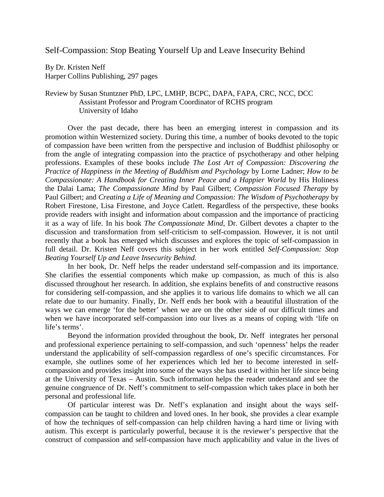Self-Compassion: Stop Beating Yourself Up and Leave Insecurity Behind

By Dr. Kristen Neff Harper Collins Publishing, 297 pages

## Review by Susan Stuntzner PhD, LPC, LMHP, BCPC, DAPA, FAPA, CRC, NCC, DCC Assistant Professor and Program Coordinator of RCHS program University of Idaho

Over the past decade, there has been an emerging interest in compassion and its promotion within Westernized society. During this time, a number of books devoted to the topic of compassion have been written from the perspective and inclusion of Buddhist philosophy or from the angle of integrating compassion into the practice of psychotherapy and other helping professions. Examples of these books include *The Lost Art of Compassion: Discovering the Practice of Happiness in the Meeting of Buddhism and Psychology* by Lorne Ladner; *How to be Compassionate: A Handbook for Creating Inner Peace and a Happier World* by His Holiness the Dalai Lama; *The Compassionate Mind* by Paul Gilbert; *Compassion Focused Therapy* by Paul Gilbert; and *Creating a Life of Meaning and Compassion: The Wisdom of Psychotherapy* by Robert Firestone, Lisa Firestone, and Joyce Catlett. Regardless of the perspective, these books provide readers with insight and information about compassion and the importance of practicing it as a way of life. In his book *The Compassionate Mind*, Dr. Gilbert devotes a chapter to the discussion and transformation from self-criticism to self-compassion. However, it is not until recently that a book has emerged which discusses and explores the topic of self-compassion in full detail. Dr. Kristen Neff covers this subject in her work entitled *Self-Compassion: Stop Beating Yourself Up and Leave Insecurity Behind.*

In her book, Dr. Neff helps the reader understand self-compassion and its importance. She clarifies the essential components which make up compassion, as much of this is also discussed throughout her research. In addition, she explains benefits of and constructive reasons for considering self-compassion, and she applies it to various life domains to which we all can relate due to our humanity. Finally, Dr. Neff ends her book with a beautiful illustration of the ways we can emerge 'for the better' when we are on the other side of our difficult times and when we have incorporated self-compassion into our lives as a means of coping with 'life on life's terms'.

Beyond the information provided throughout the book, Dr. Neff integrates her personal and professional experience pertaining to self-compassion, and such 'openness' helps the reader understand the applicability of self-compassion regardless of one's specific circumstances. For example, she outlines some of her experiences which led her to become interested in selfcompassion and provides insight into some of the ways she has used it within her life since being at the University of Texas – Austin. Such information helps the reader understand and see the genuine congruence of Dr. Neff's commitment to self-compassion which takes place in both her personal and professional life.

Of particular interest was Dr. Neff's explanation and insight about the ways selfcompassion can be taught to children and loved ones. In her book, she provides a clear example of how the techniques of self-compassion can help children having a hard time or living with autism. This excerpt is particularly powerful, because it is the reviewer's perspective that the construct of compassion and self-compassion have much applicability and value in the lives of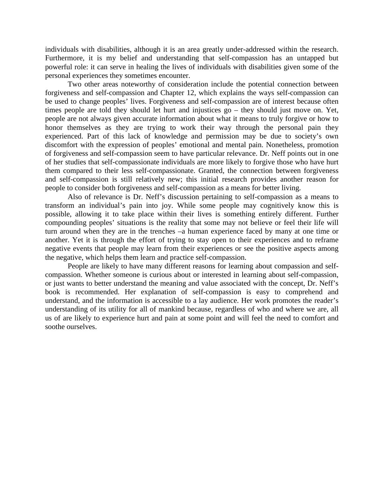individuals with disabilities, although it is an area greatly under-addressed within the research. Furthermore, it is my belief and understanding that self-compassion has an untapped but powerful role: it can serve in healing the lives of individuals with disabilities given some of the personal experiences they sometimes encounter.

Two other areas noteworthy of consideration include the potential connection between forgiveness and self-compassion and Chapter 12, which explains the ways self-compassion can be used to change peoples' lives. Forgiveness and self-compassion are of interest because often times people are told they should let hurt and injustices go – they should just move on. Yet, people are not always given accurate information about what it means to truly forgive or how to honor themselves as they are trying to work their way through the personal pain they experienced. Part of this lack of knowledge and permission may be due to society's own discomfort with the expression of peoples' emotional and mental pain. Nonetheless, promotion of forgiveness and self-compassion seem to have particular relevance. Dr. Neff points out in one of her studies that self-compassionate individuals are more likely to forgive those who have hurt them compared to their less self-compassionate. Granted, the connection between forgiveness and self-compassion is still relatively new; this initial research provides another reason for people to consider both forgiveness and self-compassion as a means for better living.

Also of relevance is Dr. Neff's discussion pertaining to self-compassion as a means to transform an individual's pain into joy. While some people may cognitively know this is possible, allowing it to take place within their lives is something entirely different. Further compounding peoples' situations is the reality that some may not believe or feel their life will turn around when they are in the trenches –a human experience faced by many at one time or another. Yet it is through the effort of trying to stay open to their experiences and to reframe negative events that people may learn from their experiences or see the positive aspects among the negative, which helps them learn and practice self-compassion.

People are likely to have many different reasons for learning about compassion and selfcompassion. Whether someone is curious about or interested in learning about self-compassion, or just wants to better understand the meaning and value associated with the concept, Dr. Neff's book is recommended. Her explanation of self-compassion is easy to comprehend and understand, and the information is accessible to a lay audience. Her work promotes the reader's understanding of its utility for all of mankind because, regardless of who and where we are, all us of are likely to experience hurt and pain at some point and will feel the need to comfort and soothe ourselves.